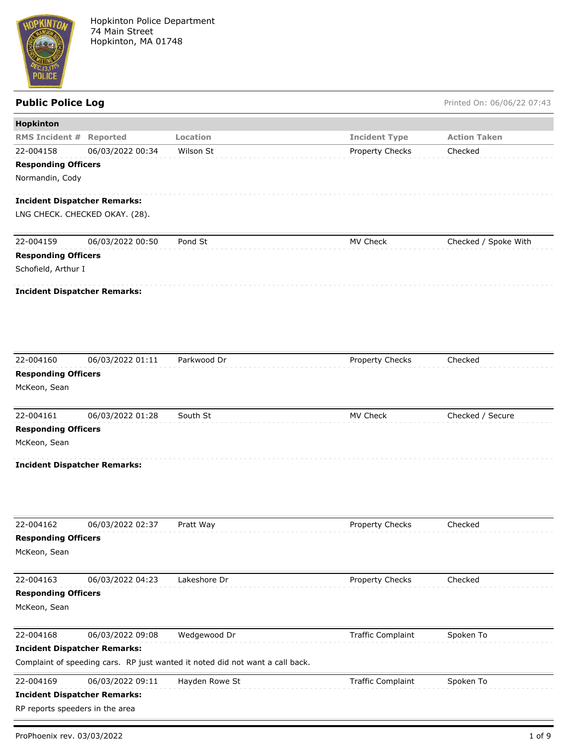

Public Police Log **Public Police Log** Printed On: 06/06/22 07:43

| Hopkinton                                  |                                     |                                                                               |                          |                      |
|--------------------------------------------|-------------------------------------|-------------------------------------------------------------------------------|--------------------------|----------------------|
| <b>RMS Incident #</b>                      | <b>Reported</b>                     | <b>Location</b>                                                               | <b>Incident Type</b>     | <b>Action Taken</b>  |
| 22-004158                                  | 06/03/2022 00:34                    | Wilson St                                                                     | Property Checks          | Checked              |
| <b>Responding Officers</b>                 |                                     |                                                                               |                          |                      |
| Normandin, Cody                            |                                     |                                                                               |                          |                      |
|                                            | <b>Incident Dispatcher Remarks:</b> |                                                                               |                          |                      |
|                                            | LNG CHECK. CHECKED OKAY. (28).      |                                                                               |                          |                      |
|                                            |                                     |                                                                               |                          |                      |
| 22-004159                                  | 06/03/2022 00:50                    | Pond St                                                                       | MV Check                 | Checked / Spoke With |
| <b>Responding Officers</b>                 |                                     |                                                                               |                          |                      |
| Schofield, Arthur I                        |                                     |                                                                               |                          |                      |
|                                            | <b>Incident Dispatcher Remarks:</b> |                                                                               |                          |                      |
|                                            |                                     |                                                                               |                          |                      |
|                                            |                                     |                                                                               |                          |                      |
| 22-004160                                  | 06/03/2022 01:11                    | Parkwood Dr                                                                   | Property Checks          | Checked              |
| <b>Responding Officers</b><br>McKeon, Sean |                                     |                                                                               |                          |                      |
|                                            |                                     |                                                                               |                          |                      |
| 22-004161                                  | 06/03/2022 01:28                    | South St                                                                      | MV Check                 | Checked / Secure     |
| <b>Responding Officers</b>                 |                                     |                                                                               |                          |                      |
| McKeon, Sean                               |                                     |                                                                               |                          |                      |
|                                            | <b>Incident Dispatcher Remarks:</b> |                                                                               |                          |                      |
|                                            |                                     |                                                                               |                          |                      |
| 22-004162                                  | 06/03/2022 02:37                    | Pratt Way                                                                     | Property Checks          | Checked              |
| <b>Responding Officers</b>                 |                                     |                                                                               |                          |                      |
| McKeon, Sean                               |                                     |                                                                               |                          |                      |
| 22-004163                                  | 06/03/2022 04:23                    | Lakeshore Dr                                                                  | Property Checks          | Checked              |
| <b>Responding Officers</b>                 |                                     |                                                                               |                          |                      |
| McKeon, Sean                               |                                     |                                                                               |                          |                      |
| 22-004168                                  | 06/03/2022 09:08                    | Wedgewood Dr                                                                  | <b>Traffic Complaint</b> | Spoken To            |
|                                            | <b>Incident Dispatcher Remarks:</b> |                                                                               |                          |                      |
|                                            |                                     | Complaint of speeding cars. RP just wanted it noted did not want a call back. |                          |                      |
| 22-004169                                  | 06/03/2022 09:11                    | Hayden Rowe St                                                                | <b>Traffic Complaint</b> | Spoken To            |
|                                            | <b>Incident Dispatcher Remarks:</b> |                                                                               |                          |                      |
| RP reports speeders in the area            |                                     |                                                                               |                          |                      |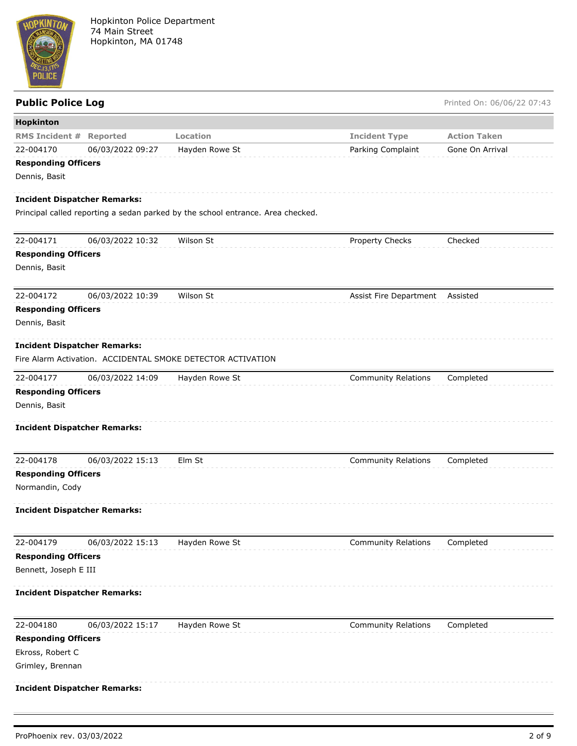

# **Hopkinton RMS Incident # Reported Location Incident Type Action Taken** 22-004170 06/03/2022 09:27 Hayden Rowe St Parking Complaint Gone On Arrival **Responding Officers** Dennis, Basit **Incident Dispatcher Remarks:** Principal called reporting a sedan parked by the school entrance. Area checked. 22-004171 06/03/2022 10:32 Wilson St Property Checks Checked **Responding Officers** Dennis, Basit

22-004172 06/03/2022 10:39 Wilson St Assist Fire Department Assisted

## **Responding Officers**

Dennis, Basit

### **Incident Dispatcher Remarks:**

Fire Alarm Activation. ACCIDENTAL SMOKE DETECTOR ACTIVATION

| 22-004177            | 06/03/2022 14:09 | Hayden Rowe St | Community Relations Completed |  |
|----------------------|------------------|----------------|-------------------------------|--|
| Daananding Afficana. |                  |                |                               |  |

**Public Police Log** Printed On: 06/06/22 07:43

## **Responding Officers**

Dennis, Basit

### **Incident Dispatcher Remarks:**

| 22-004178                  | 06/03/2022 15:13 | Elm St | <b>Community Relations</b> | Completed |
|----------------------------|------------------|--------|----------------------------|-----------|
| <b>Responding Officers</b> |                  |        |                            |           |
| Normandin, Cody            |                  |        |                            |           |

## **Incident Dispatcher Remarks:**

| 22-004179                  | 06/03/2022 15:13 | Hayden Rowe St | <b>Community Relations</b> | Completed |
|----------------------------|------------------|----------------|----------------------------|-----------|
| <b>Responding Officers</b> |                  |                |                            |           |
| Bennett, Joseph E III      |                  |                |                            |           |

### **Incident Dispatcher Remarks:**

| 22-004180                           | 06/03/2022 15:17 | Hayden Rowe St | <b>Community Relations</b> | Completed |
|-------------------------------------|------------------|----------------|----------------------------|-----------|
| <b>Responding Officers</b>          |                  |                |                            |           |
| Ekross, Robert C                    |                  |                |                            |           |
| Grimley, Brennan                    |                  |                |                            |           |
| <b>Incident Dispatcher Remarks:</b> |                  |                |                            |           |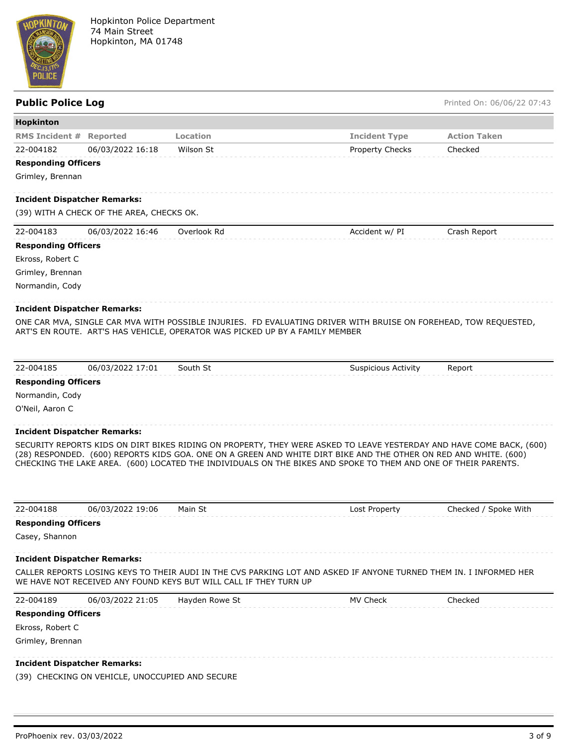

| <b>Public Police Log</b>   |                                           |                                                                              |                                                                                                                                                                                                                                                                                                                                                            | Printed On: 06/06/22 07:43 |
|----------------------------|-------------------------------------------|------------------------------------------------------------------------------|------------------------------------------------------------------------------------------------------------------------------------------------------------------------------------------------------------------------------------------------------------------------------------------------------------------------------------------------------------|----------------------------|
| Hopkinton                  |                                           |                                                                              |                                                                                                                                                                                                                                                                                                                                                            |                            |
| <b>RMS Incident #</b>      | <b>Reported</b>                           | Location                                                                     | <b>Incident Type</b>                                                                                                                                                                                                                                                                                                                                       | <b>Action Taken</b>        |
| 22-004182                  | 06/03/2022 16:18                          | Wilson St                                                                    | <b>Property Checks</b>                                                                                                                                                                                                                                                                                                                                     | Checked                    |
| <b>Responding Officers</b> |                                           |                                                                              |                                                                                                                                                                                                                                                                                                                                                            |                            |
| Grimley, Brennan           |                                           |                                                                              |                                                                                                                                                                                                                                                                                                                                                            |                            |
|                            | <b>Incident Dispatcher Remarks:</b>       |                                                                              |                                                                                                                                                                                                                                                                                                                                                            |                            |
|                            | (39) WITH A CHECK OF THE AREA, CHECKS OK. |                                                                              |                                                                                                                                                                                                                                                                                                                                                            |                            |
| 22-004183                  | 06/03/2022 16:46                          | Overlook Rd                                                                  | Accident w/ PI                                                                                                                                                                                                                                                                                                                                             | Crash Report               |
| <b>Responding Officers</b> |                                           |                                                                              |                                                                                                                                                                                                                                                                                                                                                            |                            |
| Ekross, Robert C           |                                           |                                                                              |                                                                                                                                                                                                                                                                                                                                                            |                            |
| Grimley, Brennan           |                                           |                                                                              |                                                                                                                                                                                                                                                                                                                                                            |                            |
| Normandin, Cody            |                                           |                                                                              |                                                                                                                                                                                                                                                                                                                                                            |                            |
|                            | <b>Incident Dispatcher Remarks:</b>       |                                                                              |                                                                                                                                                                                                                                                                                                                                                            |                            |
|                            |                                           | ART'S EN ROUTE. ART'S HAS VEHICLE, OPERATOR WAS PICKED UP BY A FAMILY MEMBER | ONE CAR MVA, SINGLE CAR MVA WITH POSSIBLE INJURIES. FD EVALUATING DRIVER WITH BRUISE ON FOREHEAD, TOW REQUESTED,                                                                                                                                                                                                                                           |                            |
|                            |                                           |                                                                              |                                                                                                                                                                                                                                                                                                                                                            |                            |
| 22-004185                  | 06/03/2022 17:01                          | South St                                                                     | <b>Suspicious Activity</b>                                                                                                                                                                                                                                                                                                                                 | Report                     |
| <b>Responding Officers</b> |                                           |                                                                              |                                                                                                                                                                                                                                                                                                                                                            |                            |
| Normandin, Cody            |                                           |                                                                              |                                                                                                                                                                                                                                                                                                                                                            |                            |
| O'Neil, Aaron C            |                                           |                                                                              |                                                                                                                                                                                                                                                                                                                                                            |                            |
|                            | <b>Incident Dispatcher Remarks:</b>       |                                                                              |                                                                                                                                                                                                                                                                                                                                                            |                            |
|                            |                                           |                                                                              | SECURITY REPORTS KIDS ON DIRT BIKES RIDING ON PROPERTY, THEY WERE ASKED TO LEAVE YESTERDAY AND HAVE COME BACK, (600)<br>(28) RESPONDED. (600) REPORTS KIDS GOA. ONE ON A GREEN AND WHITE DIRT BIKE AND THE OTHER ON RED AND WHITE. (600)<br>CHECKING THE LAKE AREA. (600) LOCATED THE INDIVIDUALS ON THE BIKES AND SPOKE TO THEM AND ONE OF THEIR PARENTS. |                            |
| 22-004188                  | 06/03/2022 19:06                          | Main St                                                                      | Lost Property                                                                                                                                                                                                                                                                                                                                              | Checked / Spoke With       |
| <b>Responding Officers</b> |                                           |                                                                              |                                                                                                                                                                                                                                                                                                                                                            |                            |
| Casey, Shannon             |                                           |                                                                              |                                                                                                                                                                                                                                                                                                                                                            |                            |
|                            | <b>Incident Dispatcher Remarks:</b>       |                                                                              |                                                                                                                                                                                                                                                                                                                                                            |                            |
|                            |                                           | WE HAVE NOT RECEIVED ANY FOUND KEYS BUT WILL CALL IF THEY TURN UP            | CALLER REPORTS LOSING KEYS TO THEIR AUDI IN THE CVS PARKING LOT AND ASKED IF ANYONE TURNED THEM IN. I INFORMED HER                                                                                                                                                                                                                                         |                            |
| 22-004189                  | 06/03/2022 21:05                          | Hayden Rowe St                                                               | MV Check                                                                                                                                                                                                                                                                                                                                                   | Checked                    |
| <b>Responding Officers</b> |                                           |                                                                              |                                                                                                                                                                                                                                                                                                                                                            |                            |
| Ekross, Robert C           |                                           |                                                                              |                                                                                                                                                                                                                                                                                                                                                            |                            |
| Grimley, Brennan           |                                           |                                                                              |                                                                                                                                                                                                                                                                                                                                                            |                            |
|                            | <b>Incident Dispatcher Remarks:</b>       |                                                                              |                                                                                                                                                                                                                                                                                                                                                            |                            |

(39) CHECKING ON VEHICLE, UNOCCUPIED AND SECURE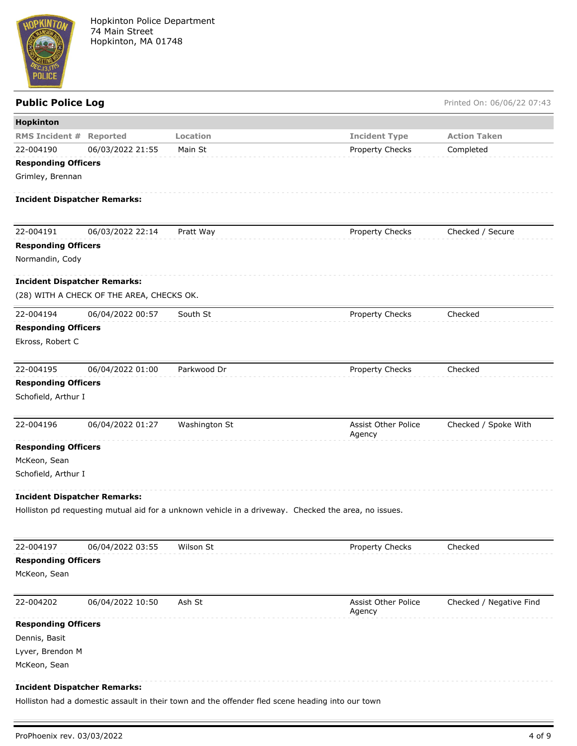

# **Public Police Log** Printed On: 06/06/22 07:43 **Hopkinton RMS Incident # Reported Location Incident Type Action Taken** 22-004190 06/03/2022 21:55 Main St **Property Checks** Completed **Responding Officers** Grimley, Brennan **Incident Dispatcher Remarks:** 22-004191 06/03/2022 22:14 Pratt Way Property Checks Checked / Secure **Responding Officers** Normandin, Cody **Incident Dispatcher Remarks:** (28) WITH A CHECK OF THE AREA, CHECKS OK. 22-004194 06/04/2022 00:57 South St Checked Property Checks Checked **Responding Officers** Ekross, Robert C 22-004195 06/04/2022 01:00 Parkwood Dr Property Checks Checked **Responding Officers** Schofield, Arthur I

| 22-004196                           | 06/04/2022 01:27 | Washington St | <b>Assist Other Police</b><br>Agency | Checked / Spoke With |
|-------------------------------------|------------------|---------------|--------------------------------------|----------------------|
| <b>Responding Officers</b>          |                  |               |                                      |                      |
| McKeon, Sean                        |                  |               |                                      |                      |
| Schofield, Arthur I                 |                  |               |                                      |                      |
| <b>Incident Dispatcher Remarks:</b> |                  |               |                                      |                      |

Holliston pd requesting mutual aid for a unknown vehicle in a driveway. Checked the area, no issues.

| 22-004197                  | 06/04/2022 03:55                    | Wilson St | <b>Property Checks</b>               | Checked                 |
|----------------------------|-------------------------------------|-----------|--------------------------------------|-------------------------|
| <b>Responding Officers</b> |                                     |           |                                      |                         |
| McKeon, Sean               |                                     |           |                                      |                         |
| 22-004202                  | 06/04/2022 10:50                    | Ash St    | <b>Assist Other Police</b><br>Agency | Checked / Negative Find |
| <b>Responding Officers</b> |                                     |           |                                      |                         |
| Dennis, Basit              |                                     |           |                                      |                         |
| Lyver, Brendon M           |                                     |           |                                      |                         |
| McKeon, Sean               |                                     |           |                                      |                         |
|                            | <b>Incident Dispatcher Remarks:</b> |           |                                      |                         |

Holliston had a domestic assault in their town and the offender fled scene heading into our town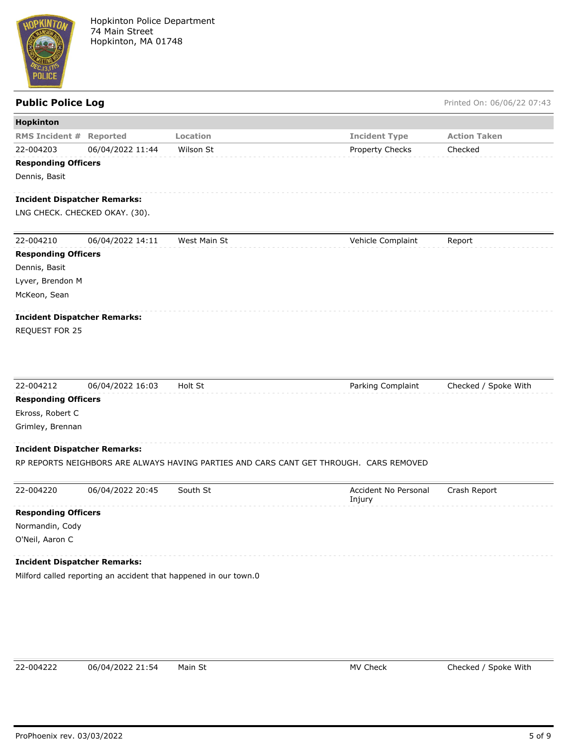

Public Police Log **Public Police Log** Printed On: 06/06/22 07:43

| Hopkinton                           |                  |                                                                                        |                                |                      |
|-------------------------------------|------------------|----------------------------------------------------------------------------------------|--------------------------------|----------------------|
| <b>RMS Incident #</b>               | Reported         | Location                                                                               | <b>Incident Type</b>           | <b>Action Taken</b>  |
| 22-004203                           | 06/04/2022 11:44 | Wilson St                                                                              | Property Checks                | Checked              |
| <b>Responding Officers</b>          |                  |                                                                                        |                                |                      |
| Dennis, Basit                       |                  |                                                                                        |                                |                      |
| <b>Incident Dispatcher Remarks:</b> |                  |                                                                                        |                                |                      |
| LNG CHECK. CHECKED OKAY. (30).      |                  |                                                                                        |                                |                      |
| 22-004210                           | 06/04/2022 14:11 | West Main St                                                                           | Vehicle Complaint              | Report               |
| <b>Responding Officers</b>          |                  |                                                                                        |                                |                      |
| Dennis, Basit                       |                  |                                                                                        |                                |                      |
| Lyver, Brendon M                    |                  |                                                                                        |                                |                      |
| McKeon, Sean                        |                  |                                                                                        |                                |                      |
| <b>Incident Dispatcher Remarks:</b> |                  |                                                                                        |                                |                      |
| REQUEST FOR 25                      |                  |                                                                                        |                                |                      |
| 22-004212                           | 06/04/2022 16:03 | Holt St                                                                                | Parking Complaint              | Checked / Spoke With |
| <b>Responding Officers</b>          |                  |                                                                                        |                                |                      |
| Ekross, Robert C                    |                  |                                                                                        |                                |                      |
| Grimley, Brennan                    |                  |                                                                                        |                                |                      |
|                                     |                  |                                                                                        |                                |                      |
| <b>Incident Dispatcher Remarks:</b> |                  |                                                                                        |                                |                      |
|                                     |                  | RP REPORTS NEIGHBORS ARE ALWAYS HAVING PARTIES AND CARS CANT GET THROUGH. CARS REMOVED |                                |                      |
| 22-004220                           | 06/04/2022 20:45 | South St                                                                               | Accident No Personal<br>Injury | Crash Report         |
| <b>Responding Officers</b>          |                  |                                                                                        |                                |                      |
| Normandin, Cody                     |                  |                                                                                        |                                |                      |
| O'Neil, Aaron C                     |                  |                                                                                        |                                |                      |
| <b>Incident Dispatcher Remarks:</b> |                  |                                                                                        |                                |                      |
|                                     |                  | Milford called reporting an accident that happened in our town.0                       |                                |                      |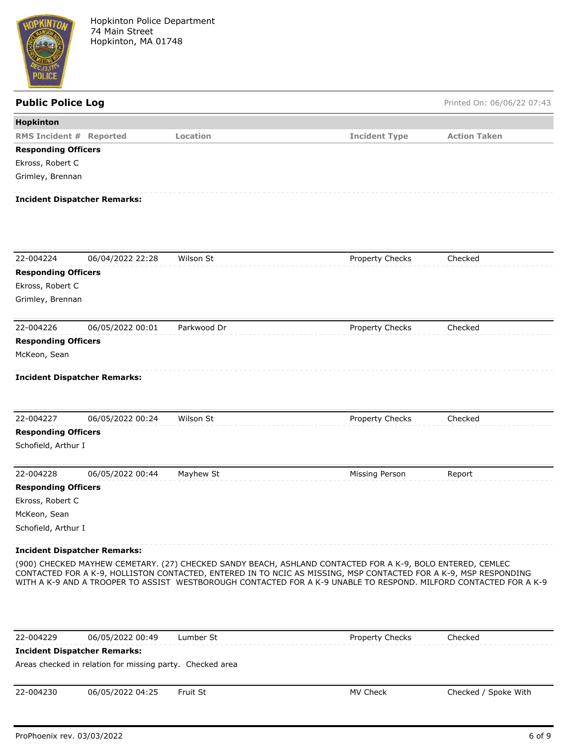

| <b>Public Police Log</b>       |                                                           |             |                                                                                                                                                                                                                                                                                                                                                     | Printed On: 06/06/22 07:43 |
|--------------------------------|-----------------------------------------------------------|-------------|-----------------------------------------------------------------------------------------------------------------------------------------------------------------------------------------------------------------------------------------------------------------------------------------------------------------------------------------------------|----------------------------|
| <b>Hopkinton</b>               |                                                           |             |                                                                                                                                                                                                                                                                                                                                                     |                            |
| <b>RMS Incident # Reported</b> |                                                           | Location    | <b>Incident Type</b>                                                                                                                                                                                                                                                                                                                                | <b>Action Taken</b>        |
| <b>Responding Officers</b>     |                                                           |             |                                                                                                                                                                                                                                                                                                                                                     |                            |
| Ekross, Robert C               |                                                           |             |                                                                                                                                                                                                                                                                                                                                                     |                            |
| Grimley, Brennan               |                                                           |             |                                                                                                                                                                                                                                                                                                                                                     |                            |
|                                | <b>Incident Dispatcher Remarks:</b>                       |             |                                                                                                                                                                                                                                                                                                                                                     |                            |
|                                |                                                           |             |                                                                                                                                                                                                                                                                                                                                                     |                            |
| 22-004224                      | 06/04/2022 22:28                                          | Wilson St   | Property Checks                                                                                                                                                                                                                                                                                                                                     | Checked                    |
| <b>Responding Officers</b>     |                                                           |             |                                                                                                                                                                                                                                                                                                                                                     |                            |
| Ekross, Robert C               |                                                           |             |                                                                                                                                                                                                                                                                                                                                                     |                            |
| Grimley, Brennan               |                                                           |             |                                                                                                                                                                                                                                                                                                                                                     |                            |
| 22-004226                      | 06/05/2022 00:01                                          | Parkwood Dr | Property Checks                                                                                                                                                                                                                                                                                                                                     | Checked                    |
| <b>Responding Officers</b>     |                                                           |             |                                                                                                                                                                                                                                                                                                                                                     |                            |
| McKeon, Sean                   |                                                           |             |                                                                                                                                                                                                                                                                                                                                                     |                            |
|                                |                                                           |             |                                                                                                                                                                                                                                                                                                                                                     |                            |
|                                | <b>Incident Dispatcher Remarks:</b>                       |             |                                                                                                                                                                                                                                                                                                                                                     |                            |
|                                |                                                           |             |                                                                                                                                                                                                                                                                                                                                                     |                            |
| 22-004227                      | 06/05/2022 00:24                                          | Wilson St   | Property Checks                                                                                                                                                                                                                                                                                                                                     | Checked                    |
| <b>Responding Officers</b>     |                                                           |             |                                                                                                                                                                                                                                                                                                                                                     |                            |
| Schofield, Arthur I            |                                                           |             |                                                                                                                                                                                                                                                                                                                                                     |                            |
|                                |                                                           |             |                                                                                                                                                                                                                                                                                                                                                     |                            |
| 22-004228                      | 06/05/2022 00:44                                          | Mayhew St   | Missing Person                                                                                                                                                                                                                                                                                                                                      | Report                     |
| <b>Responding Officers</b>     |                                                           |             |                                                                                                                                                                                                                                                                                                                                                     |                            |
| Ekross, Robert C               |                                                           |             |                                                                                                                                                                                                                                                                                                                                                     |                            |
| McKeon, Sean                   |                                                           |             |                                                                                                                                                                                                                                                                                                                                                     |                            |
| Schofield, Arthur I            |                                                           |             |                                                                                                                                                                                                                                                                                                                                                     |                            |
|                                | <b>Incident Dispatcher Remarks:</b>                       |             |                                                                                                                                                                                                                                                                                                                                                     |                            |
|                                |                                                           |             | (900) CHECKED MAYHEW CEMETARY. (27) CHECKED SANDY BEACH, ASHLAND CONTACTED FOR A K-9, BOLO ENTERED, CEMLEC<br>CONTACTED FOR A K-9, HOLLISTON CONTACTED, ENTERED IN TO NCIC AS MISSING, MSP CONTACTED FOR A K-9, MSP RESPONDING<br>WITH A K-9 AND A TROOPER TO ASSIST WESTBOROUGH CONTACTED FOR A K-9 UNABLE TO RESPOND. MILFORD CONTACTED FOR A K-9 |                            |
|                                |                                                           |             |                                                                                                                                                                                                                                                                                                                                                     |                            |
| 22-004229                      | 06/05/2022 00:49                                          | Lumber St   | <b>Property Checks</b>                                                                                                                                                                                                                                                                                                                              | Checked                    |
|                                | <b>Incident Dispatcher Remarks:</b>                       |             |                                                                                                                                                                                                                                                                                                                                                     |                            |
|                                | Areas checked in relation for missing party. Checked area |             |                                                                                                                                                                                                                                                                                                                                                     |                            |
|                                |                                                           |             |                                                                                                                                                                                                                                                                                                                                                     |                            |

22-004230 06/05/2022 04:25 Fruit St MV Check MV Check Checked / Spoke With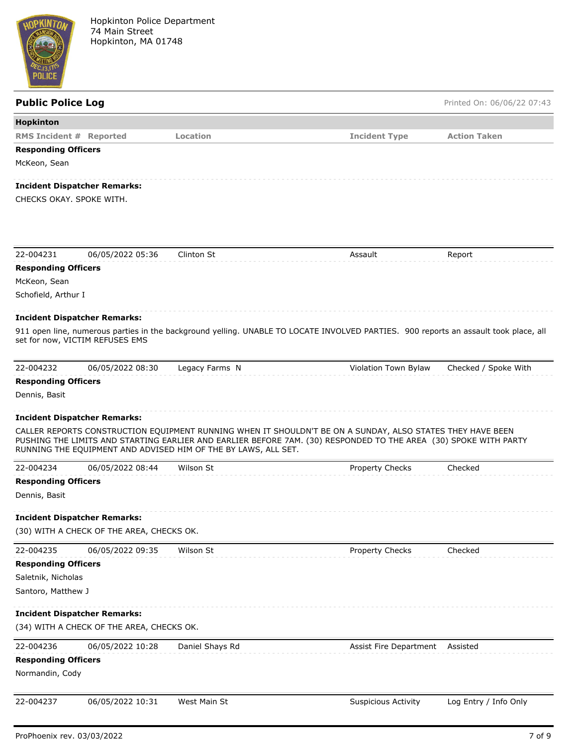

# **Public Police Log Printed On: 06/06/22 07:43 Hopkinton RMS Incident # Reported Location Incident Type Action Taken Responding Officers** McKeon, Sean **Incident Dispatcher Remarks:** CHECKS OKAY. SPOKE WITH. 22-004231 06/05/2022 05:36 Clinton St Assault Report **Responding Officers** McKeon, Sean Schofield, Arthur I **Incident Dispatcher Remarks:** 911 open line, numerous parties in the background yelling. UNABLE TO LOCATE INVOLVED PARTIES. 900 reports an assault took place, all set for now, VICTIM REFUSES EMS 22-004232 06/05/2022 08:30 Legacy Farms N Violation Town Bylaw Checked / Spoke With **Responding Officers** Dennis, Basit **Incident Dispatcher Remarks:** CALLER REPORTS CONSTRUCTION EQUIPMENT RUNNING WHEN IT SHOULDN'T BE ON A SUNDAY, ALSO STATES THEY HAVE BEEN PUSHING THE LIMITS AND STARTING EARLIER AND EARLIER BEFORE 7AM. (30) RESPONDED TO THE AREA (30) SPOKE WITH PARTY RUNNING THE EQUIPMENT AND ADVISED HIM OF THE BY LAWS, ALL SET. 22-004234 06/05/2022 08:44 Wilson St Property Checks Checked **Responding Officers** Dennis, Basit **Incident Dispatcher Remarks:** (30) WITH A CHECK OF THE AREA, CHECKS OK. 22-004235 06/05/2022 09:35 Wilson St Property Checks Checked **Responding Officers** Saletnik, Nicholas Santoro, Matthew J

## **Incident Dispatcher Remarks:**

(34) WITH A CHECK OF THE AREA, CHECKS OK.

| 22-004236                  | 06/05/2022 10:28 | Daniel Shays Rd | Assist Fire Department Assisted |  |
|----------------------------|------------------|-----------------|---------------------------------|--|
| <b>Responding Officers</b> |                  |                 |                                 |  |
| Normandin, Cody            |                  |                 |                                 |  |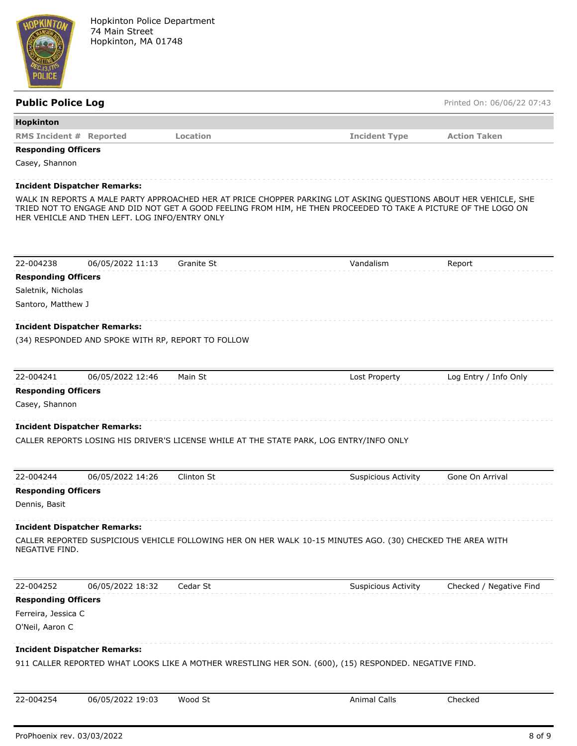

| <b>Public Police Log</b>            |                                                |                                                    |                                                                                                                                                                                                                                     | Printed On: 06/06/22 07:43 |
|-------------------------------------|------------------------------------------------|----------------------------------------------------|-------------------------------------------------------------------------------------------------------------------------------------------------------------------------------------------------------------------------------------|----------------------------|
| Hopkinton                           |                                                |                                                    |                                                                                                                                                                                                                                     |                            |
| <b>RMS Incident # Reported</b>      |                                                | Location                                           | <b>Incident Type</b>                                                                                                                                                                                                                | <b>Action Taken</b>        |
| <b>Responding Officers</b>          |                                                |                                                    |                                                                                                                                                                                                                                     |                            |
| Casey, Shannon                      |                                                |                                                    |                                                                                                                                                                                                                                     |                            |
| <b>Incident Dispatcher Remarks:</b> |                                                |                                                    |                                                                                                                                                                                                                                     |                            |
|                                     | HER VEHICLE AND THEN LEFT. LOG INFO/ENTRY ONLY |                                                    | WALK IN REPORTS A MALE PARTY APPROACHED HER AT PRICE CHOPPER PARKING LOT ASKING QUESTIONS ABOUT HER VEHICLE, SHE<br>TRIED NOT TO ENGAGE AND DID NOT GET A GOOD FEELING FROM HIM, HE THEN PROCEEDED TO TAKE A PICTURE OF THE LOGO ON |                            |
| 22-004238                           | 06/05/2022 11:13                               | Granite St                                         | Vandalism                                                                                                                                                                                                                           | Report                     |
| <b>Responding Officers</b>          |                                                |                                                    |                                                                                                                                                                                                                                     |                            |
| Saletnik, Nicholas                  |                                                |                                                    |                                                                                                                                                                                                                                     |                            |
| Santoro, Matthew J                  |                                                |                                                    |                                                                                                                                                                                                                                     |                            |
| <b>Incident Dispatcher Remarks:</b> |                                                |                                                    |                                                                                                                                                                                                                                     |                            |
|                                     |                                                | (34) RESPONDED AND SPOKE WITH RP, REPORT TO FOLLOW |                                                                                                                                                                                                                                     |                            |
|                                     |                                                |                                                    |                                                                                                                                                                                                                                     |                            |
| 22-004241                           | 06/05/2022 12:46                               | Main St                                            | Lost Property                                                                                                                                                                                                                       | Log Entry / Info Only      |
| <b>Responding Officers</b>          |                                                |                                                    |                                                                                                                                                                                                                                     |                            |
| Casey, Shannon                      |                                                |                                                    |                                                                                                                                                                                                                                     |                            |
|                                     |                                                |                                                    |                                                                                                                                                                                                                                     |                            |
| <b>Incident Dispatcher Remarks:</b> |                                                |                                                    |                                                                                                                                                                                                                                     |                            |
|                                     |                                                |                                                    | CALLER REPORTS LOSING HIS DRIVER'S LICENSE WHILE AT THE STATE PARK, LOG ENTRY/INFO ONLY                                                                                                                                             |                            |
|                                     |                                                |                                                    |                                                                                                                                                                                                                                     |                            |
| 22-004244                           | 06/05/2022 14:26                               | Clinton St                                         | <b>Suspicious Activity</b>                                                                                                                                                                                                          | Gone On Arrival            |
| <b>Responding Officers</b>          |                                                |                                                    |                                                                                                                                                                                                                                     |                            |
| Dennis, Basit                       |                                                |                                                    |                                                                                                                                                                                                                                     |                            |
| <b>Incident Dispatcher Remarks:</b> |                                                |                                                    |                                                                                                                                                                                                                                     |                            |
| NEGATIVE FIND.                      |                                                |                                                    | CALLER REPORTED SUSPICIOUS VEHICLE FOLLOWING HER ON HER WALK 10-15 MINUTES AGO. (30) CHECKED THE AREA WITH                                                                                                                          |                            |
| 22-004252                           | 06/05/2022 18:32                               | Cedar St                                           | <b>Suspicious Activity</b>                                                                                                                                                                                                          | Checked / Negative Find    |
| <b>Responding Officers</b>          |                                                |                                                    |                                                                                                                                                                                                                                     |                            |
| Ferreira, Jessica C                 |                                                |                                                    |                                                                                                                                                                                                                                     |                            |
| O'Neil, Aaron C                     |                                                |                                                    |                                                                                                                                                                                                                                     |                            |
| <b>Incident Dispatcher Remarks:</b> |                                                |                                                    |                                                                                                                                                                                                                                     |                            |
|                                     |                                                |                                                    | 911 CALLER REPORTED WHAT LOOKS LIKE A MOTHER WRESTLING HER SON. (600), (15) RESPONDED. NEGATIVE FIND.                                                                                                                               |                            |
|                                     |                                                |                                                    |                                                                                                                                                                                                                                     |                            |
| 22-004254                           | 06/05/2022 19:03                               | Wood St                                            | <b>Animal Calls</b>                                                                                                                                                                                                                 | Checked                    |